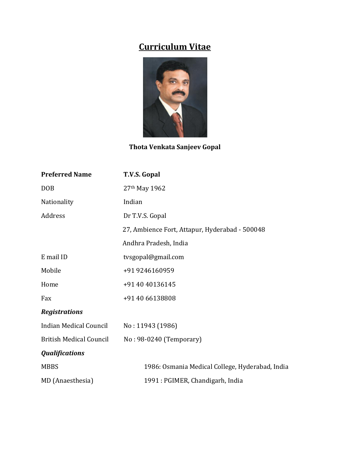# **Curriculum Vitae**



**Thota Venkata Sanjeev Gopal**

| <b>Preferred Name</b>          | T.V.S. Gopal                                    |
|--------------------------------|-------------------------------------------------|
| <b>DOB</b>                     | 27th May 1962                                   |
| Nationality                    | Indian                                          |
| Address                        | Dr T.V.S. Gopal                                 |
|                                | 27, Ambience Fort, Attapur, Hyderabad - 500048  |
|                                | Andhra Pradesh, India                           |
| E mail ID                      | tvsgopal@gmail.com                              |
| Mobile                         | +91 9246160959                                  |
| Home                           | +91 40 40136145                                 |
| Fax                            | +91 40 66138808                                 |
| <b>Registrations</b>           |                                                 |
| <b>Indian Medical Council</b>  | No: 11943 (1986)                                |
| <b>British Medical Council</b> | No: 98-0240 (Temporary)                         |
| <b>Qualifications</b>          |                                                 |
| <b>MBBS</b>                    | 1986: Osmania Medical College, Hyderabad, India |
| MD (Anaesthesia)               | 1991 : PGIMER, Chandigarh, India                |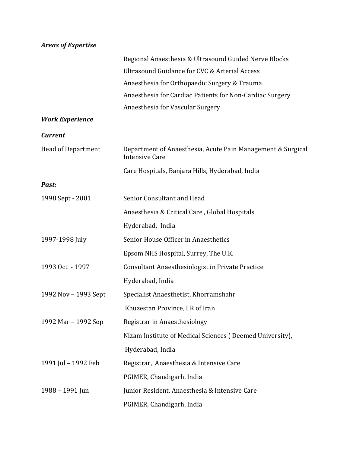# *Areas of Expertise*

|                           | Regional Anaesthesia & Ultrasound Guided Nerve Blocks                                |
|---------------------------|--------------------------------------------------------------------------------------|
|                           | Ultrasound Guidance for CVC & Arterial Access                                        |
|                           | Anaesthesia for Orthopaedic Surgery & Trauma                                         |
|                           | Anaesthesia for Cardiac Patients for Non-Cardiac Surgery                             |
|                           | Anaesthesia for Vascular Surgery                                                     |
| <b>Work Experience</b>    |                                                                                      |
| <b>Current</b>            |                                                                                      |
| <b>Head of Department</b> | Department of Anaesthesia, Acute Pain Management & Surgical<br><b>Intensive Care</b> |
|                           | Care Hospitals, Banjara Hills, Hyderabad, India                                      |
| Past:                     |                                                                                      |
| 1998 Sept - 2001          | Senior Consultant and Head                                                           |
|                           | Anaesthesia & Critical Care, Global Hospitals                                        |
|                           | Hyderabad, India                                                                     |
| 1997-1998 July            | Senior House Officer in Anaesthetics                                                 |
|                           | Epsom NHS Hospital, Surrey, The U.K.                                                 |
| 1993 Oct - 1997           | Consultant Anaesthesiologist in Private Practice                                     |
|                           | Hyderabad, India                                                                     |
| 1992 Nov - 1993 Sept      | Specialist Anaesthetist, Khorramshahr                                                |
|                           | Khuzestan Province, I R of Iran                                                      |
| 1992 Mar - 1992 Sep       | Registrar in Anaesthesiology                                                         |
|                           | Nizam Institute of Medical Sciences (Deemed University),                             |
|                           | Hyderabad, India                                                                     |
| 1991 Jul - 1992 Feb       | Registrar, Anaesthesia & Intensive Care                                              |
|                           | PGIMER, Chandigarh, India                                                            |
| 1988 - 1991 Jun           | Junior Resident, Anaesthesia & Intensive Care                                        |
|                           | PGIMER, Chandigarh, India                                                            |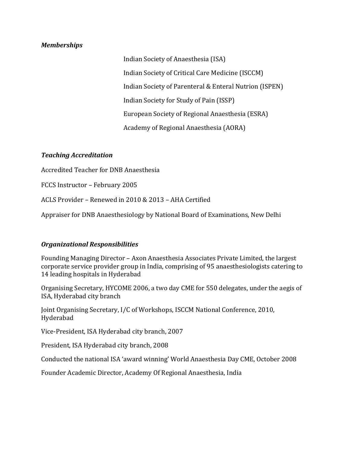### *Memberships*

Indian Society of Anaesthesia (ISA) Indian Society of Critical Care Medicine (ISCCM) Indian Society of Parenteral & Enteral Nutrion (ISPEN) Indian Society for Study of Pain (ISSP) European Society of Regional Anaesthesia (ESRA) Academy of Regional Anaesthesia (AORA)

# *Teaching Accreditation*

Accredited Teacher for DNB Anaesthesia

FCCS Instructor – February 2005

ACLS Provider – Renewed in 2010 & 2013 – AHA Certified

Appraiser for DNB Anaesthesiology by National Board of Examinations, New Delhi

# *Organizational Responsibilities*

Founding Managing Director – Axon Anaesthesia Associates Private Limited, the largest corporate service provider group in India, comprising of 95 anaesthesiologists catering to 14 leading hospitals in Hyderabad

Organising Secretary, HYCOME 2006, a two day CME for 550 delegates, under the aegis of ISA, Hyderabad city branch

Joint Organising Secretary, I/C of Workshops, ISCCM National Conference, 2010, Hyderabad

Vice-President, ISA Hyderabad city branch, 2007

President, ISA Hyderabad city branch, 2008

Conducted the national ISA 'award winning' World Anaesthesia Day CME, October 2008

Founder Academic Director, Academy Of Regional Anaesthesia, India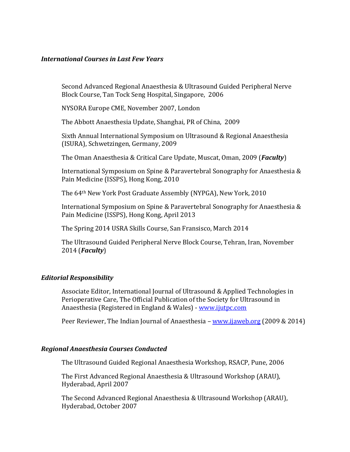#### *International Courses in Last Few Years*

Second Advanced Regional Anaesthesia & Ultrasound Guided Peripheral Nerve Block Course, Tan Tock Seng Hospital, Singapore, 2006

NYSORA Europe CME, November 2007, London

The Abbott Anaesthesia Update, Shanghai, PR of China, 2009

Sixth Annual International Symposium on Ultrasound & Regional Anaesthesia (ISURA), Schwetzingen, Germany, 2009

The Oman Anaesthesia & Critical Care Update, Muscat, Oman, 2009 (*Faculty*)

International Symposium on Spine & Paravertebral Sonography for Anaesthesia & Pain Medicine (ISSPS), Hong Kong, 2010

The 64th New York Post Graduate Assembly (NYPGA), New York, 2010

International Symposium on Spine & Paravertebral Sonography for Anaesthesia & Pain Medicine (ISSPS), Hong Kong, April 2013

The Spring 2014 USRA Skills Course, San Fransisco, March 2014

The Ultrasound Guided Peripheral Nerve Block Course, Tehran, Iran, November 2014 (*Faculty*)

# *Editorial Responsibility*

Associate Editor, International Journal of Ultrasound & Applied Technologies in Perioperative Care, The Official Publication of the Society for Ultrasound in Anaesthesia (Registered in England & Wales) - [www.ijutpc.com](http://www.ijutpc.com/)

Peer Reviewer, The Indian Journal of Anaesthesia – [www.ijaweb.org](http://www.ijaweb.org/) (2009 & 2014)

# *Regional Anaesthesia Courses Conducted*

The Ultrasound Guided Regional Anaesthesia Workshop, RSACP, Pune, 2006

The First Advanced Regional Anaesthesia & Ultrasound Workshop (ARAU), Hyderabad, April 2007

The Second Advanced Regional Anaesthesia & Ultrasound Workshop (ARAU), Hyderabad, October 2007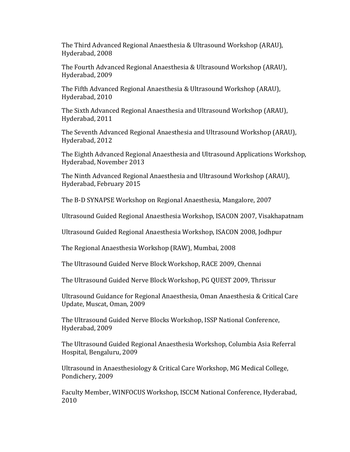The Third Advanced Regional Anaesthesia & Ultrasound Workshop (ARAU), Hyderabad, 2008

The Fourth Advanced Regional Anaesthesia & Ultrasound Workshop (ARAU), Hyderabad, 2009

The Fifth Advanced Regional Anaesthesia & Ultrasound Workshop (ARAU), Hyderabad, 2010

The Sixth Advanced Regional Anaesthesia and Ultrasound Workshop (ARAU), Hyderabad, 2011

The Seventh Advanced Regional Anaesthesia and Ultrasound Workshop (ARAU), Hyderabad, 2012

The Eighth Advanced Regional Anaesthesia and Ultrasound Applications Workshop, Hyderabad, November 2013

The Ninth Advanced Regional Anaesthesia and Ultrasound Workshop (ARAU), Hyderabad, February 2015

The B-D SYNAPSE Workshop on Regional Anaesthesia, Mangalore, 2007

Ultrasound Guided Regional Anaesthesia Workshop, ISACON 2007, Visakhapatnam

Ultrasound Guided Regional Anaesthesia Workshop, ISACON 2008, Jodhpur

The Regional Anaesthesia Workshop (RAW), Mumbai, 2008

The Ultrasound Guided Nerve Block Workshop, RACE 2009, Chennai

The Ultrasound Guided Nerve Block Workshop, PG QUEST 2009, Thrissur

Ultrasound Guidance for Regional Anaesthesia, Oman Anaesthesia & Critical Care Update, Muscat, Oman, 2009

The Ultrasound Guided Nerve Blocks Workshop, ISSP National Conference, Hyderabad, 2009

The Ultrasound Guided Regional Anaesthesia Workshop, Columbia Asia Referral Hospital, Bengaluru, 2009

Ultrasound in Anaesthesiology & Critical Care Workshop, MG Medical College, Pondichery, 2009

Faculty Member, WINFOCUS Workshop, ISCCM National Conference, Hyderabad, 2010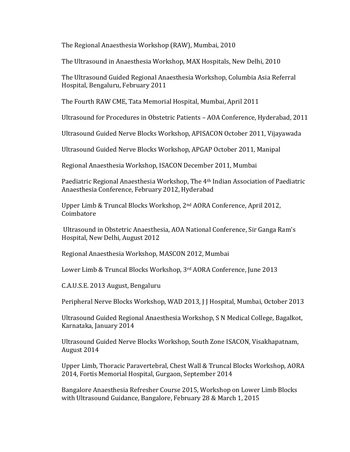The Regional Anaesthesia Workshop (RAW), Mumbai, 2010

The Ultrasound in Anaesthesia Workshop, MAX Hospitals, New Delhi, 2010

The Ultrasound Guided Regional Anaesthesia Workshop, Columbia Asia Referral Hospital, Bengaluru, February 2011

The Fourth RAW CME, Tata Memorial Hospital, Mumbai, April 2011

Ultrasound for Procedures in Obstetric Patients – AOA Conference, Hyderabad, 2011

Ultrasound Guided Nerve Blocks Workshop, APISACON October 2011, Vijayawada

Ultrasound Guided Nerve Blocks Workshop, APGAP October 2011, Manipal

Regional Anaesthesia Workshop, ISACON December 2011, Mumbai

Paediatric Regional Anaesthesia Workshop, The 4th Indian Association of Paediatric Anaesthesia Conference, February 2012, Hyderabad

Upper Limb & Truncal Blocks Workshop, 2nd AORA Conference, April 2012, Coimbatore

Ultrasound in Obstetric Anaesthesia, AOA National Conference, Sir Ganga Ram's Hospital, New Delhi, August 2012

Regional Anaesthesia Workshop, MASCON 2012, Mumbai

Lower Limb & Truncal Blocks Workshop, 3rd AORA Conference, June 2013

C.A.U.S.E. 2013 August, Bengaluru

Peripheral Nerve Blocks Workshop, WAD 2013, J J Hospital, Mumbai, October 2013

Ultrasound Guided Regional Anaesthesia Workshop, S N Medical College, Bagalkot, Karnataka, January 2014

Ultrasound Guided Nerve Blocks Workshop, South Zone ISACON, Visakhapatnam, August 2014

Upper Limb, Thoracic Paravertebral, Chest Wall & Truncal Blocks Workshop, AORA 2014, Fortis Memorial Hospital, Gurgaon, September 2014

Bangalore Anaesthesia Refresher Course 2015, Workshop on Lower Limb Blocks with Ultrasound Guidance, Bangalore, February 28 & March 1, 2015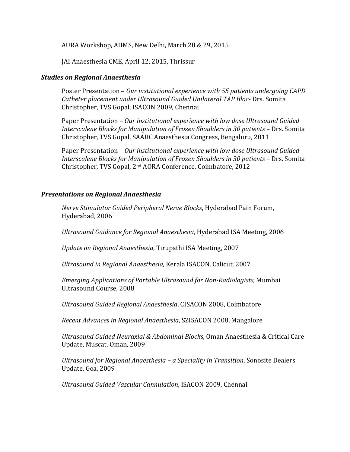AURA Workshop, AIIMS, New Delhi, March 28 & 29, 2015

JAI Anaesthesia CME, April 12, 2015, Thrissur

### *Studies on Regional Anaesthesia*

Poster Presentation – *Our institutional experience with 55 patients undergoing CAPD Catheter placement under Ultrasound Guided Unilateral TAP Bloc-* Drs. Somita Christopher, TVS Gopal, ISACON 2009, Chennai

Paper Presentation – *Our institutional experience with low dose Ultrasound Guided Interscalene Blocks for Manipulation of Frozen Shoulders in 30 patients* – Drs. Somita Christopher, TVS Gopal, SAARC Anaesthesia Congress, Bengaluru, 2011

Paper Presentation – *Our institutional experience with low dose Ultrasound Guided Interscalene Blocks for Manipulation of Frozen Shoulders in 30 patients* – Drs. Somita Christopher, TVS Gopal, 2nd AORA Conference, Coimbatore, 2012

### *Presentations on Regional Anaesthesia*

*Nerve Stimulator Guided Peripheral Nerve Blocks*, Hyderabad Pain Forum, Hyderabad, 2006

*Ultrasound Guidance for Regional Anaesthesia*, Hyderabad ISA Meeting, 2006

*Update on Regional Anaesthesia*, Tirupathi ISA Meeting, 2007

*Ultrasound in Regional Anaesthesia,* Kerala ISACON, Calicut, 2007

*Emerging Applications of Portable Ultrasound for Non-Radiologists*, Mumbai Ultrasound Course, 2008

*Ultrasound Guided Regional Anaesthesia*, CISACON 2008, Coimbatore

*Recent Advances in Regional Anaesthesia*, SZISACON 2008, Mangalore

*Ultrasound Guided Neuraxial & Abdominal Blocks*, Oman Anaesthesia & Critical Care Update, Muscat, Oman, 2009

*Ultrasound for Regional Anaesthesia – a Speciality in Transition*, Sonosite Dealers Update, Goa, 2009

*Ultrasound Guided Vascular Cannulation*, ISACON 2009, Chennai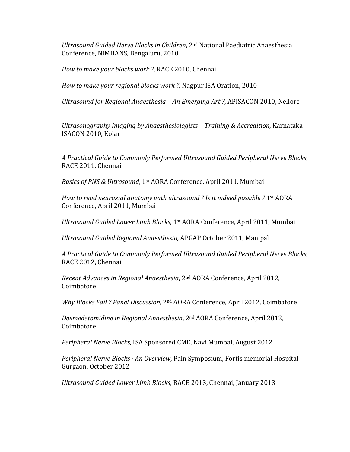*Ultrasound Guided Nerve Blocks in Children*, 2nd National Paediatric Anaesthesia Conference, NIMHANS, Bengaluru, 2010

*How to make your blocks work ?*, RACE 2010, Chennai

*How to make your regional blocks work ?,* Nagpur ISA Oration, 2010

*Ultrasound for Regional Anaesthesia – An Emerging Art ?*, APISACON 2010, Nellore

*Ultrasonography Imaging by Anaesthesiologists – Training & Accredition*, Karnataka ISACON 2010, Kolar

*A Practical Guide to Commonly Performed Ultrasound Guided Peripheral Nerve Blocks*, RACE 2011, Chennai

*Basics of PNS & Ultrasound*, 1st AORA Conference, April 2011, Mumbai

*How to read neuraxial anatomy with ultrasound ? Is it indeed possible ?* 1st AORA Conference, April 2011, Mumbai

*Ultrasound Guided Lower Limb Blocks*, 1st AORA Conference, April 2011, Mumbai

*Ultrasound Guided Regional Anaesthesia,* APGAP October 2011, Manipal

*A Practical Guide to Commonly Performed Ultrasound Guided Peripheral Nerve Blocks*, RACE 2012, Chennai

*Recent Advances in Regional Anaesthesia*, 2nd AORA Conference, April 2012, Coimbatore

*Why Blocks Fail ? Panel Discussion*, 2nd AORA Conference, April 2012, Coimbatore

*Dexmedetomidine in Regional Anaesthesia*, 2nd AORA Conference, April 2012, Coimbatore

*Peripheral Nerve Blocks,* ISA Sponsored CME, Navi Mumbai, August 2012

*Peripheral Nerve Blocks : An Overview*, Pain Symposium, Fortis memorial Hospital Gurgaon, October 2012

*Ultrasound Guided Lower Limb Blocks*, RACE 2013, Chennai, January 2013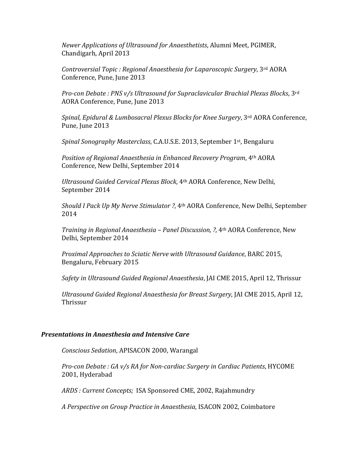*Newer Applications of Ultrasound for Anaesthetists*, Alumni Meet, PGIMER, Chandigarh, April 2013

*Controversial Topic : Regional Anaesthesia for Laparoscopic Surgery*, 3rd AORA Conference, Pune, June 2013

*Pro-con Debate : PNS v/s Ultrasound for Supraclavicular Brachial Plexus Blocks*, 3rd AORA Conference, Pune, June 2013

*Spinal, Epidural & Lumbosacral Plexus Blocks for Knee Surgery*, 3rd AORA Conference, Pune, June 2013

*Spinal Sonography Masterclass*, C.A.U.S.E. 2013, September 1st, Bengaluru

*Position of Regional Anaesthesia in Enhanced Recovery Program*, 4th AORA Conference, New Delhi, September 2014

*Ultrasound Guided Cervical Plexus Block*, 4th AORA Conference, New Delhi, September 2014

*Should I Pack Up My Nerve Stimulator ?*, 4th AORA Conference, New Delhi, September 2014

*Training in Regional Anaesthesia – Panel Discussion, ?*, 4th AORA Conference, New Delhi, September 2014

*Proximal Approaches to Sciatic Nerve with Ultrasound Guidance*, BARC 2015, Bengaluru, February 2015

*Safety in Ultrasound Guided Regional Anaesthesia*, JAI CME 2015, April 12, Thrissur

*Ultrasound Guided Regional Anaesthesia for Breast Surgery*, JAI CME 2015, April 12, Thrissur

#### *Presentations in Anaesthesia and Intensive Care*

*Conscious Sedation*, APISACON 2000, Warangal

*Pro-con Debate : GA v/s RA for Non-cardiac Surgery in Cardiac Patients*, HYCOME 2001, Hyderabad

*ARDS : Current Concepts;* ISA Sponsored CME, 2002, Rajahmundry

*A Perspective on Group Practice in Anaesthesia*, ISACON 2002, Coimbatore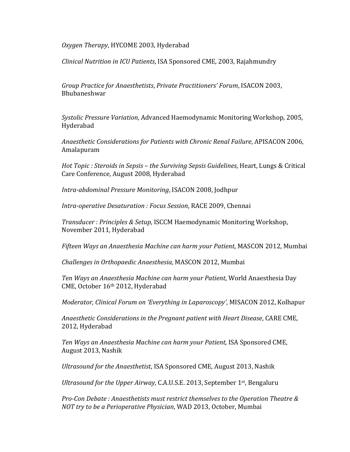*Oxygen Therapy*, HYCOME 2003, Hyderabad

*Clinical Nutrition in ICU Patients*, ISA Sponsored CME, 2003, Rajahmundry

*Group Practice for Anaesthetists*, *Private Practitioners' Forum*, ISACON 2003, Bhubaneshwar

*Systolic Pressure Variation*, Advanced Haemodynamic Monitoring Workshop, 2005, Hyderabad

*Anaesthetic Considerations for Patients with Chronic Renal Failure*, APISACON 2006, Amalapuram

*Hot Topic : Steroids in Sepsis – the Surviving Sepsis Guidelines*, Heart, Lungs & Critical Care Conference, August 2008, Hyderabad

*Intra-abdominal Pressure Monitoring*, ISACON 2008, Jodhpur

*Intra-operative Desaturation : Focus Session*, RACE 2009, Chennai

*Transducer : Principles & Setup*, ISCCM Haemodynamic Monitoring Workshop, November 2011, Hyderabad

*Fifteen Ways an Anaesthesia Machine can harm your Patient*, MASCON 2012, Mumbai

*Challenges in Orthopaedic Anaesthesia,* MASCON 2012, Mumbai

*Ten Ways an Anaesthesia Machine can harm your Patient*, World Anaesthesia Day CME, October 16th 2012, Hyderabad

*Moderator, Clinical Forum on 'Everything in Laparoscopy'*, MISACON 2012, Kolhapur

*Anaesthetic Considerations in the Pregnant patient with Heart Disease*, CARE CME, 2012, Hyderabad

*Ten Ways an Anaesthesia Machine can harm your Patient,* ISA Sponsored CME, August 2013, Nashik

*Ultrasound for the Anaesthetist*, ISA Sponsored CME, August 2013, Nashik

*Ultrasound for the Upper Airway,* C.A.U.S.E. 2013, September 1st, Bengaluru

*Pro-Con Debate : Anaesthetists must restrict themselves to the Operation Theatre & NOT try to be a Perioperative Physician*, WAD 2013, October, Mumbai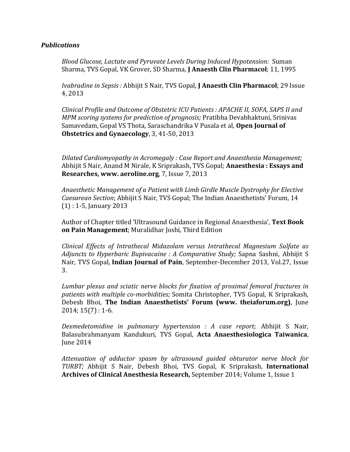### *Publications*

*Blood Glucose, Lactate and Pyruvate Levels During Induced Hypotension:* Suman Sharma, TVS Gopal, VK Grover, SD Sharma, **J Anaesth Clin Pharmacol**; 11, 1995

*Ivabradine in Sepsis :* Abhijit S Nair, TVS Gopal, **J Anaesth Clin Pharmacol**; 29 Issue 4, 2013

*Clinical Profile and Outcome of Obstetric ICU Patients : APACHE II, SOFA, SAPS II and MPM scoring systems for prediction of prognosis;* Pratibha Devabhaktuni, Srinivas Samavedam, Gopal VS Thota, Saraschandrika V Pusala et al, **Open Journal of Obstetrics and Gynaecology**, 3, 41-50, 2013

*Dilated Cardiomyopathy in Acromegaly : Case Report and Anaesthesia Management;*  Abhijit S Nair, Anand M Nirale, K Sriprakash, TVS Gopal; **Anaesthesia : Essays and Researches, www. aeroline.org**, 7, Issue 7, 2013

*Anaesthetic Management of a Patient with Limb Girdle Muscle Dystrophy for Elective Caesarean Section*; Abhijit S Nair, TVS Gopal; The Indian Anaesthetists' Forum, 14 (1) : 1-5, January 2013

Author of Chapter titled 'Ultrasound Guidance in Regional Anaesthesia', **Text Book on Pain Management**; Muralidhar Joshi, Third Edition

*Clinical Effects of Intrathecal Midazolam versus Intrathecal Magnesium Sulfate as Adjuncts to Hyperbaric Bupivacaine : A Comparative Study;* Sapna Sashni, Abhijit S Nair, TVS Gopal, **Indian Journal of Pain**, September-December 2013, Vol.27, Issue 3.

*Lumbar plexus and sciatic nerve blocks for fixation of proximal femoral fractures in patients with multiple co-morbidities;* Somita Christopher, TVS Gopal, K Sriprakash, Debesh Bhoi, **The Indian Anaesthetists' Forum (www. theiaforum.org)**, June 2014; 15(7) : 1-6.

*Dexmedetomidine in pulmonary hypertension : A case report*; Abhijit S Nair, Balasubrahmanyam Kandukuri, TVS Gopal, **Acta Anaesthesiologica Taiwanica**, June 2014

*Attenuation of adductor spasm by ultrasound guided obturator nerve block for TURBT;* Abhijit S Nair, Debesh Bhoi, TVS Gopal, K Sriprakash*,* **International Archives of Clinical Anesthesia Research,** September 2014; Volume 1, Issue 1